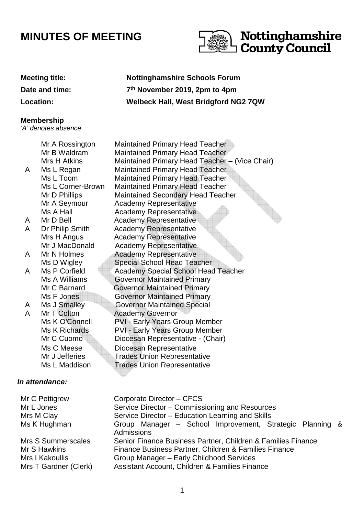# **MINUTES OF MEETING**



#### **Meeting title: Nottinghamshire Schools Forum**

**Date and time: 7**

**Location: Welbeck Hall, West Bridgford NG2 7QW** 

A A

#### **Membership**

'A' denotes absence

 Mr A Rossington Maintained Primary Head Teacher Mr B Waldram Maintained Primary Head Teacher Mrs H Atkins Maintained Primary Head Teacher – (Vice Chair) A Ms L Regan Maintained Primary Head Teacher Ms L Toom Maintained Primary Head Teacher Ms L Corner-Brown Maintained Primary Head Teacher Mr D Phillips Maintained Secondary Head Teacher Mr A Seymour Academy Representative Ms A Hall **Academy Representative** Mr D Bell **Academy Representative** Dr Philip Smith Academy Representative Mrs H Angus **Academy Representative** Mr J MacDonald Academy Representative A Mr N Holmes Academy Representative Ms D Wigley Special School Head Teacher A Ms P Corfield Academy Special School Head Teacher Ms A Williams Governor Maintained Primary Mr C Barnard Governor Maintained Primary Ms F Jones **Governor Maintained Primary** A Ms J Smalley Governor Maintained Special<br>A Mr T Colton Academy Governor A Mr T Colton Academy Governor Ms K O'Connell PVI - Early Years Group Member Ms K Richards PVI - Early Years Group Member Mr C Cuomo Diocesan Representative - (Chair) Ms C Meese Diocesan Representative Mr J Jefferies **Trades Union Representative** Ms L Maddison **Trades Union Representative** 

**th November 2019, 2pm to 4pm**

### **In attendance:**

| Mr C Pettigrew        | Corporate Director - CFCS                                              |  |
|-----------------------|------------------------------------------------------------------------|--|
| Mr L Jones            | Service Director - Commissioning and Resources                         |  |
| Mrs M Clay            | Service Director - Education Learning and Skills                       |  |
| Ms K Hughman          | Group Manager - School Improvement, Strategic Planning &<br>Admissions |  |
| Mrs S Summerscales    | Senior Finance Business Partner, Children & Families Finance           |  |
| Mr S Hawkins          | Finance Business Partner, Children & Families Finance                  |  |
| Mrs I Kakoullis       | Group Manager - Early Childhood Services                               |  |
| Mrs T Gardner (Clerk) | Assistant Account, Children & Families Finance                         |  |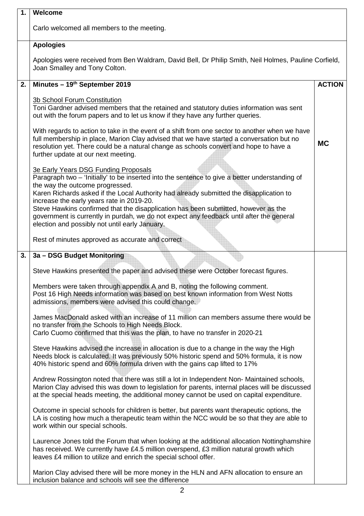| 1. | Welcome                                                                                                                                                                                                                                                                                                                                                                                                                                                                                                                                                      |               |
|----|--------------------------------------------------------------------------------------------------------------------------------------------------------------------------------------------------------------------------------------------------------------------------------------------------------------------------------------------------------------------------------------------------------------------------------------------------------------------------------------------------------------------------------------------------------------|---------------|
|    | Carlo welcomed all members to the meeting.                                                                                                                                                                                                                                                                                                                                                                                                                                                                                                                   |               |
|    | <b>Apologies</b>                                                                                                                                                                                                                                                                                                                                                                                                                                                                                                                                             |               |
|    | Apologies were received from Ben Waldram, David Bell, Dr Philip Smith, Neil Holmes, Pauline Corfield,<br>Joan Smalley and Tony Colton.                                                                                                                                                                                                                                                                                                                                                                                                                       |               |
| 2. | Minutes - 19th September 2019                                                                                                                                                                                                                                                                                                                                                                                                                                                                                                                                | <b>ACTION</b> |
|    | <b>3b School Forum Constitution</b><br>Toni Gardner advised members that the retained and statutory duties information was sent<br>out with the forum papers and to let us know if they have any further queries.                                                                                                                                                                                                                                                                                                                                            |               |
|    | With regards to action to take in the event of a shift from one sector to another when we have<br>full membership in place, Marion Clay advised that we have started a conversation but no<br>resolution yet. There could be a natural change as schools convert and hope to have a<br>further update at our next meeting.                                                                                                                                                                                                                                   | <b>MC</b>     |
|    | <b>3e Early Years DSG Funding Proposals</b><br>Paragraph two - 'Initially' to be inserted into the sentence to give a better understanding of<br>the way the outcome progressed.<br>Karen Richards asked if the Local Authority had already submitted the disapplication to<br>increase the early years rate in 2019-20.<br>Steve Hawkins confirmed that the disapplication has been submitted, however as the<br>government is currently in purdah, we do not expect any feedback until after the general<br>election and possibly not until early January. |               |
|    | Rest of minutes approved as accurate and correct                                                                                                                                                                                                                                                                                                                                                                                                                                                                                                             |               |
| 3. | 3a - DSG Budget Monitoring                                                                                                                                                                                                                                                                                                                                                                                                                                                                                                                                   |               |
|    | Steve Hawkins presented the paper and advised these were October forecast figures.                                                                                                                                                                                                                                                                                                                                                                                                                                                                           |               |
|    | Members were taken through appendix A and B, noting the following comment.<br>Post 16 High Needs information was based on best known information from West Notts<br>admissions, members were advised this could change.                                                                                                                                                                                                                                                                                                                                      |               |
|    | James MacDonald asked with an increase of 11 million can members assume there would be<br>no transfer from the Schools to High Needs Block.<br>Carlo Cuomo confirmed that this was the plan, to have no transfer in 2020-21                                                                                                                                                                                                                                                                                                                                  |               |
|    | Steve Hawkins advised the increase in allocation is due to a change in the way the High<br>Needs block is calculated. It was previously 50% historic spend and 50% formula, it is now<br>40% historic spend and 60% formula driven with the gains cap lifted to 17%                                                                                                                                                                                                                                                                                          |               |
|    | Andrew Rossington noted that there was still a lot in Independent Non-Maintained schools,<br>Marion Clay advised this was down to legislation for parents, internal places will be discussed<br>at the special heads meeting, the additional money cannot be used on capital expenditure.                                                                                                                                                                                                                                                                    |               |
|    | Outcome in special schools for children is better, but parents want therapeutic options, the<br>LA is costing how much a therapeutic team within the NCC would be so that they are able to<br>work within our special schools.                                                                                                                                                                                                                                                                                                                               |               |
|    | Laurence Jones told the Forum that when looking at the additional allocation Nottinghamshire<br>has received. We currently have £4.5 million overspend, £3 million natural growth which<br>leaves £4 million to utilize and enrich the special school offer.                                                                                                                                                                                                                                                                                                 |               |
|    | Marion Clay advised there will be more money in the HLN and AFN allocation to ensure an<br>inclusion balance and schools will see the difference                                                                                                                                                                                                                                                                                                                                                                                                             |               |
|    | 2                                                                                                                                                                                                                                                                                                                                                                                                                                                                                                                                                            |               |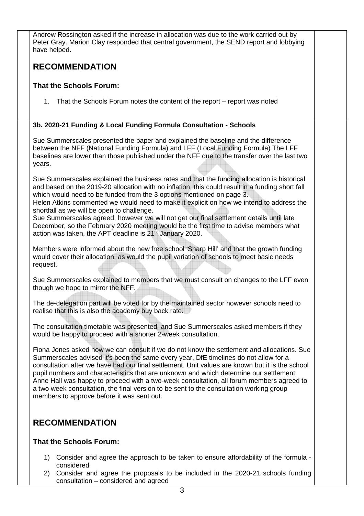| Andrew Rossington asked if the increase in allocation was due to the work carried out by<br>Peter Gray. Marion Clay responded that central government, the SEND report and lobbying<br>have helped.                                                                                                                                                                                                                                                                                                                                                                                                                                                                             |  |
|---------------------------------------------------------------------------------------------------------------------------------------------------------------------------------------------------------------------------------------------------------------------------------------------------------------------------------------------------------------------------------------------------------------------------------------------------------------------------------------------------------------------------------------------------------------------------------------------------------------------------------------------------------------------------------|--|
| <b>RECOMMENDATION</b>                                                                                                                                                                                                                                                                                                                                                                                                                                                                                                                                                                                                                                                           |  |
| <b>That the Schools Forum:</b>                                                                                                                                                                                                                                                                                                                                                                                                                                                                                                                                                                                                                                                  |  |
| 1. That the Schools Forum notes the content of the report – report was noted                                                                                                                                                                                                                                                                                                                                                                                                                                                                                                                                                                                                    |  |
| 3b. 2020-21 Funding & Local Funding Formula Consultation - Schools                                                                                                                                                                                                                                                                                                                                                                                                                                                                                                                                                                                                              |  |
| Sue Summerscales presented the paper and explained the baseline and the difference<br>between the NFF (National Funding Formula) and LFF (Local Funding Formula) The LFF<br>baselines are lower than those published under the NFF due to the transfer over the last two<br>years.                                                                                                                                                                                                                                                                                                                                                                                              |  |
| Sue Summerscales explained the business rates and that the funding allocation is historical<br>and based on the 2019-20 allocation with no inflation, this could result in a funding short fall<br>which would need to be funded from the 3 options mentioned on page 3.<br>Helen Atkins commented we would need to make it explicit on how we intend to address the<br>shortfall as we will be open to challenge.<br>Sue Summerscales agreed, however we will not get our final settlement details until late<br>December, so the February 2020 meeting would be the first time to advise members what<br>action was taken, the APT deadline is 21 <sup>st</sup> January 2020. |  |
| Members were informed about the new free school 'Sharp Hill' and that the growth funding<br>would cover their allocation, as would the pupil variation of schools to meet basic needs<br>request.                                                                                                                                                                                                                                                                                                                                                                                                                                                                               |  |
| Sue Summerscales explained to members that we must consult on changes to the LFF even<br>though we hope to mirror the NFF.                                                                                                                                                                                                                                                                                                                                                                                                                                                                                                                                                      |  |
| The de-delegation part will be voted for by the maintained sector however schools need to<br>realise that this is also the academy buy back rate.                                                                                                                                                                                                                                                                                                                                                                                                                                                                                                                               |  |
| The consultation timetable was presented, and Sue Summerscales asked members if they<br>would be happy to proceed with a shorter 2-week consultation.                                                                                                                                                                                                                                                                                                                                                                                                                                                                                                                           |  |
| Fiona Jones asked how we can consult if we do not know the settlement and allocations. Sue<br>Summerscales advised it's been the same every year, DfE timelines do not allow for a<br>consultation after we have had our final settlement. Unit values are known but it is the school<br>pupil numbers and characteristics that are unknown and which determine our settlement.<br>Anne Hall was happy to proceed with a two-week consultation, all forum members agreed to<br>a two week consultation, the final version to be sent to the consultation working group<br>members to approve before it was sent out.                                                            |  |
| <b>RECOMMENDATION</b>                                                                                                                                                                                                                                                                                                                                                                                                                                                                                                                                                                                                                                                           |  |
| <b>That the Schools Forum:</b>                                                                                                                                                                                                                                                                                                                                                                                                                                                                                                                                                                                                                                                  |  |
| Consider and agree the approach to be taken to ensure affordability of the formula -<br>1)<br>considered<br>Consider and agree the proposals to be included in the 2020-21 schools funding<br>2)                                                                                                                                                                                                                                                                                                                                                                                                                                                                                |  |

2) Consider and agree the proposals to be included in the 2020-21 schools funding consultation – considered and agreed